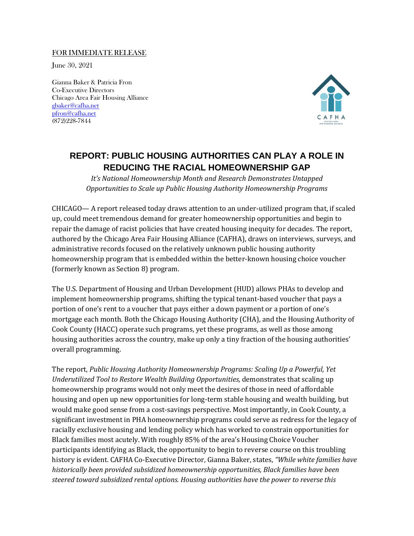## FOR IMMEDIATE RELEASE

June 30, 2021

Gianna Baker & Patricia Fron Co-Executive Directors Chicago Area Fair Housing Alliance [gbaker@cafha.net](mailto:gbaker@cafha.net) [pfron@cafha.net](mailto:pfron@cafha.net) (872)228-7844



## **REPORT: PUBLIC HOUSING AUTHORITIES CAN PLAY A ROLE IN REDUCING THE RACIAL HOMEOWNERSHIP GAP**

*It's National Homeownership Month and Research Demonstrates Untapped Opportunities to Scale up Public Housing Authority Homeownership Programs*

CHICAGO— A report released today draws attention to an under-utilized program that, if scaled up, could meet tremendous demand for greater homeownership opportunities and begin to repair the damage of racist policies that have created housing inequity for decades. The report, authored by the Chicago Area Fair Housing Alliance (CAFHA), draws on interviews, surveys, and administrative records focused on the relatively unknown public housing authority homeownership program that is embedded within the better-known housing choice voucher (formerly known as Section 8) program.

The U.S. Department of Housing and Urban Development (HUD) allows PHAs to develop and implement homeownership programs, shifting the typical tenant-based voucher that pays a portion of one's rent to a voucher that pays either a down payment or a portion of one's mortgage each month. Both the Chicago Housing Authority (CHA), and the Housing Authority of Cook County (HACC) operate such programs, yet these programs, as well as those among housing authorities across the country, make up only a tiny fraction of the housing authorities' overall programming.

The report, *Public Housing Authority Homeownership Programs: Scaling Up a Powerful, Yet Underutilized Tool to Restore Wealth Building Opportunities,* demonstrates that scaling up homeownership programs would not only meet the desires of those in need of affordable housing and open up new opportunities for long-term stable housing and wealth building, but would make good sense from a cost-savings perspective. Most importantly, in Cook County, a significant investment in PHA homeownership programs could serve as redress for the legacy of racially exclusive housing and lending policy which has worked to constrain opportunities for Black families most acutely. With roughly 85% of the area's Housing Choice Voucher participants identifying as Black, the opportunity to begin to reverse course on this troubling history is evident. CAFHA Co-Executive Director, Gianna Baker, states, *"While white families have historically been provided subsidized homeownership opportunities, Black families have been steered toward subsidized rental options. Housing authorities have the power to reverse this*